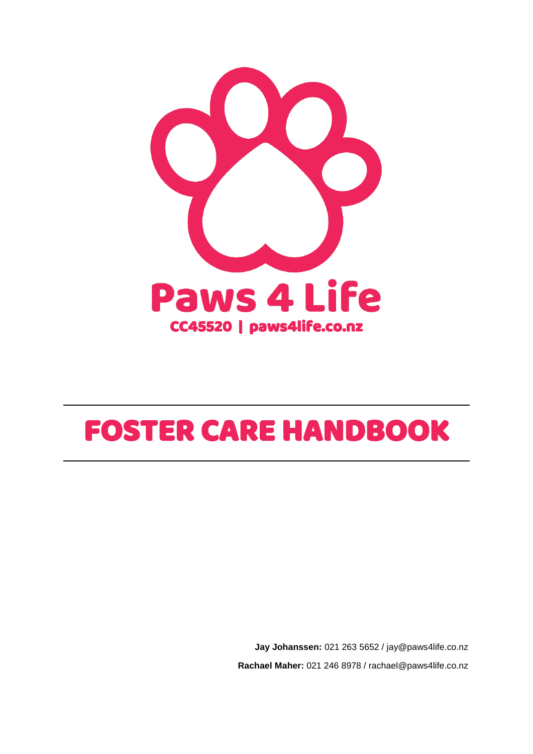

# FOSTER CARE HANDBOOK

**Jay Johanssen:** 021 263 5652 / jay@paws4life.co.nz **Rachael Maher:** 021 246 8978 / rachael@paws4life.co.nz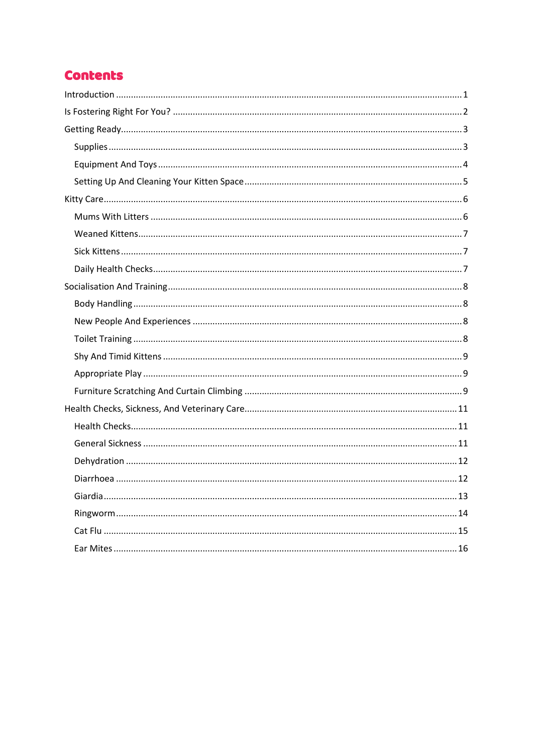# **Contents**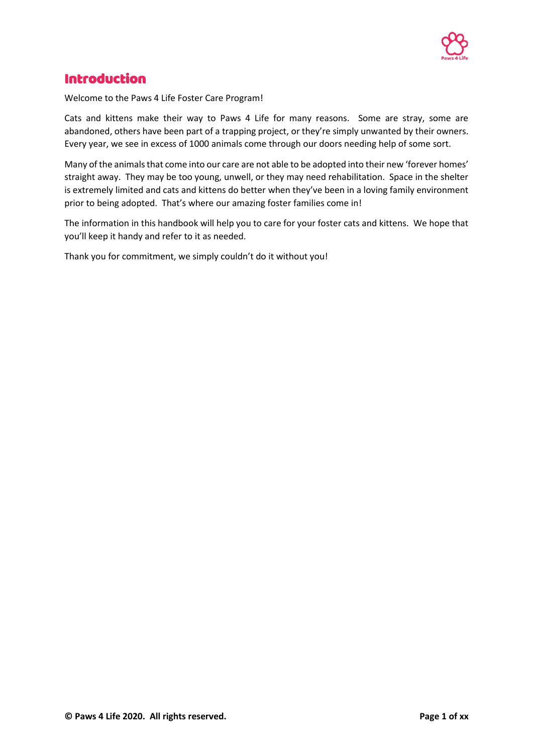

# <span id="page-2-0"></span>Introduction

Welcome to the Paws 4 Life Foster Care Program!

Cats and kittens make their way to Paws 4 Life for many reasons. Some are stray, some are abandoned, others have been part of a trapping project, or they're simply unwanted by their owners. Every year, we see in excess of 1000 animals come through our doors needing help of some sort.

Many of the animals that come into our care are not able to be adopted into their new 'forever homes' straight away. They may be too young, unwell, or they may need rehabilitation. Space in the shelter is extremely limited and cats and kittens do better when they've been in a loving family environment prior to being adopted. That's where our amazing foster families come in!

The information in this handbook will help you to care for your foster cats and kittens. We hope that you'll keep it handy and refer to it as needed.

Thank you for commitment, we simply couldn't do it without you!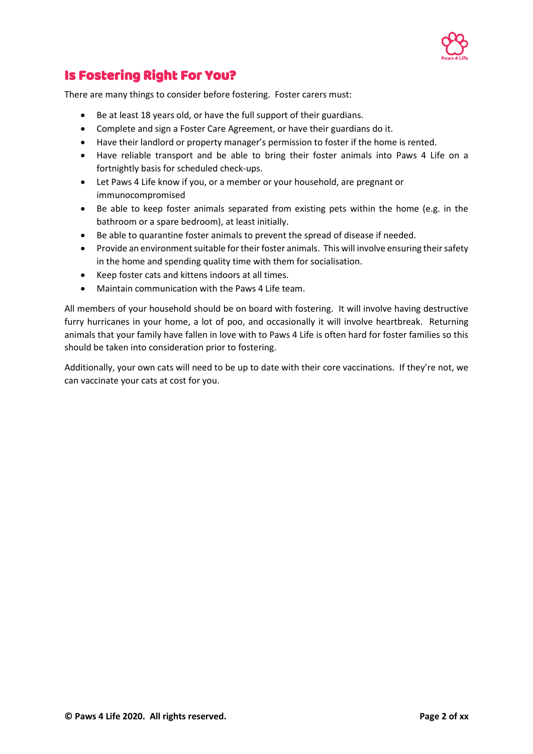

# <span id="page-3-0"></span>Is Fostering Right For You?

There are many things to consider before fostering. Foster carers must:

- Be at least 18 years old, or have the full support of their guardians.
- Complete and sign a Foster Care Agreement, or have their guardians do it.
- Have their landlord or property manager's permission to foster if the home is rented.
- Have reliable transport and be able to bring their foster animals into Paws 4 Life on a fortnightly basis for scheduled check-ups.
- Let Paws 4 Life know if you, or a member or your household, are pregnant or immunocompromised
- Be able to keep foster animals separated from existing pets within the home (e.g. in the bathroom or a spare bedroom), at least initially.
- Be able to quarantine foster animals to prevent the spread of disease if needed.
- Provide an environment suitable for their foster animals. This will involve ensuring their safety in the home and spending quality time with them for socialisation.
- Keep foster cats and kittens indoors at all times.
- Maintain communication with the Paws 4 Life team.

All members of your household should be on board with fostering. It will involve having destructive furry hurricanes in your home, a lot of poo, and occasionally it will involve heartbreak. Returning animals that your family have fallen in love with to Paws 4 Life is often hard for foster families so this should be taken into consideration prior to fostering.

Additionally, your own cats will need to be up to date with their core vaccinations. If they're not, we can vaccinate your cats at cost for you.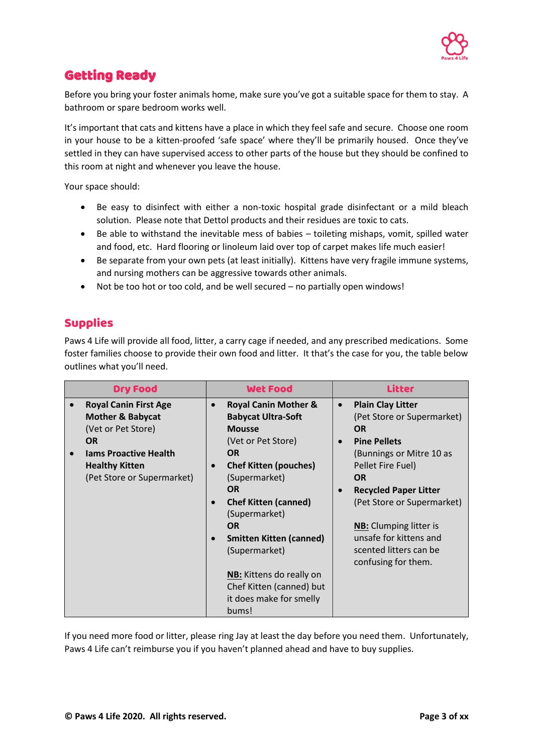

# <span id="page-4-0"></span>Getting Ready

Before you bring your foster animals home, make sure you've got a suitable space for them to stay. A bathroom or spare bedroom works well.

It's important that cats and kittens have a place in which they feel safe and secure. Choose one room in your house to be a kitten-proofed 'safe space' where they'll be primarily housed. Once they've settled in they can have supervised access to other parts of the house but they should be confined to this room at night and whenever you leave the house.

Your space should:

- Be easy to disinfect with either a non-toxic hospital grade disinfectant or a mild bleach solution. Please note that Dettol products and their residues are toxic to cats.
- Be able to withstand the inevitable mess of babies toileting mishaps, vomit, spilled water and food, etc. Hard flooring or linoleum laid over top of carpet makes life much easier!
- Be separate from your own pets (at least initially). Kittens have very fragile immune systems, and nursing mothers can be aggressive towards other animals.
- Not be too hot or too cold, and be well secured no partially open windows!

## <span id="page-4-1"></span>Supplies

Paws 4 Life will provide all food, litter, a carry cage if needed, and any prescribed medications. Some foster families choose to provide their own food and litter. It that's the case for you, the table below outlines what you'll need.

| <b>Dry Food</b>                                                                   | <b>Wet Food</b>                                                                            | <b>Litter</b>                                                                    |
|-----------------------------------------------------------------------------------|--------------------------------------------------------------------------------------------|----------------------------------------------------------------------------------|
| <b>Royal Canin First Age</b><br><b>Mother &amp; Babycat</b><br>(Vet or Pet Store) | <b>Royal Canin Mother &amp;</b><br>$\bullet$<br><b>Babycat Ultra-Soft</b><br><b>Mousse</b> | <b>Plain Clay Litter</b><br>$\bullet$<br>(Pet Store or Supermarket)<br><b>OR</b> |
| <b>OR</b><br><b>Jams Proactive Health</b><br><b>Healthy Kitten</b>                | (Vet or Pet Store)<br><b>OR</b><br><b>Chef Kitten (pouches)</b><br>$\bullet$               | <b>Pine Pellets</b><br>(Bunnings or Mitre 10 as<br>Pellet Fire Fuel)             |
| (Pet Store or Supermarket)                                                        | (Supermarket)<br><b>OR</b>                                                                 | <b>OR</b><br><b>Recycled Paper Litter</b><br>$\bullet$                           |
|                                                                                   | <b>Chef Kitten (canned)</b><br>$\bullet$<br>(Supermarket)<br><b>OR</b>                     | (Pet Store or Supermarket)<br><b>NB:</b> Clumping litter is                      |
|                                                                                   | <b>Smitten Kitten (canned)</b><br>$\bullet$<br>(Supermarket)                               | unsafe for kittens and<br>scented litters can be<br>confusing for them.          |
|                                                                                   | <b>NB:</b> Kittens do really on<br>Chef Kitten (canned) but<br>it does make for smelly     |                                                                                  |
|                                                                                   | bums!                                                                                      |                                                                                  |

If you need more food or litter, please ring Jay at least the day before you need them. Unfortunately, Paws 4 Life can't reimburse you if you haven't planned ahead and have to buy supplies.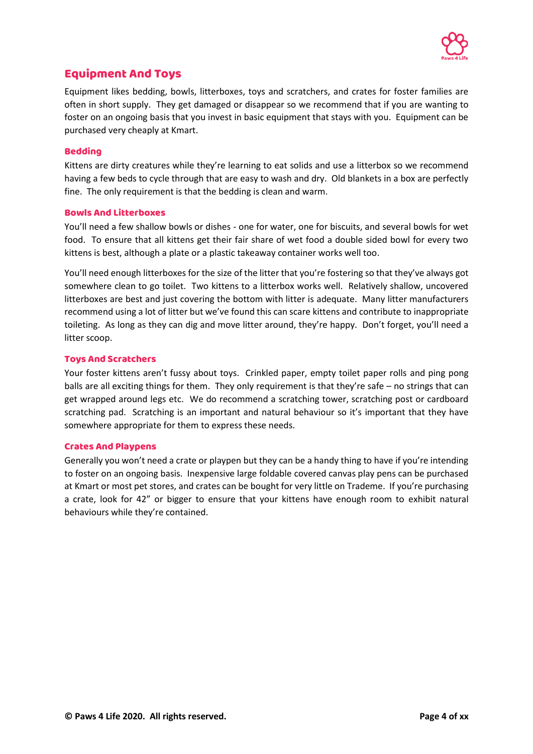

## <span id="page-5-0"></span>Equipment And Toys

Equipment likes bedding, bowls, litterboxes, toys and scratchers, and crates for foster families are often in short supply. They get damaged or disappear so we recommend that if you are wanting to foster on an ongoing basis that you invest in basic equipment that stays with you. Equipment can be purchased very cheaply at Kmart.

#### Bedding

Kittens are dirty creatures while they're learning to eat solids and use a litterbox so we recommend having a few beds to cycle through that are easy to wash and dry. Old blankets in a box are perfectly fine. The only requirement is that the bedding is clean and warm.

#### Bowls And Litterboxes

You'll need a few shallow bowls or dishes - one for water, one for biscuits, and several bowls for wet food. To ensure that all kittens get their fair share of wet food a double sided bowl for every two kittens is best, although a plate or a plastic takeaway container works well too.

You'll need enough litterboxes for the size of the litter that you're fostering so that they've always got somewhere clean to go toilet. Two kittens to a litterbox works well. Relatively shallow, uncovered litterboxes are best and just covering the bottom with litter is adequate. Many litter manufacturers recommend using a lot of litter but we've found this can scare kittens and contribute to inappropriate toileting. As long as they can dig and move litter around, they're happy. Don't forget, you'll need a litter scoop.

#### Toys And Scratchers

Your foster kittens aren't fussy about toys. Crinkled paper, empty toilet paper rolls and ping pong balls are all exciting things for them. They only requirement is that they're safe – no strings that can get wrapped around legs etc. We do recommend a scratching tower, scratching post or cardboard scratching pad. Scratching is an important and natural behaviour so it's important that they have somewhere appropriate for them to express these needs.

#### Crates And Playpens

Generally you won't need a crate or playpen but they can be a handy thing to have if you're intending to foster on an ongoing basis. Inexpensive large foldable covered canvas play pens can be purchased at Kmart or most pet stores, and crates can be bought for very little on Trademe. If you're purchasing a crate, look for 42" or bigger to ensure that your kittens have enough room to exhibit natural behaviours while they're contained.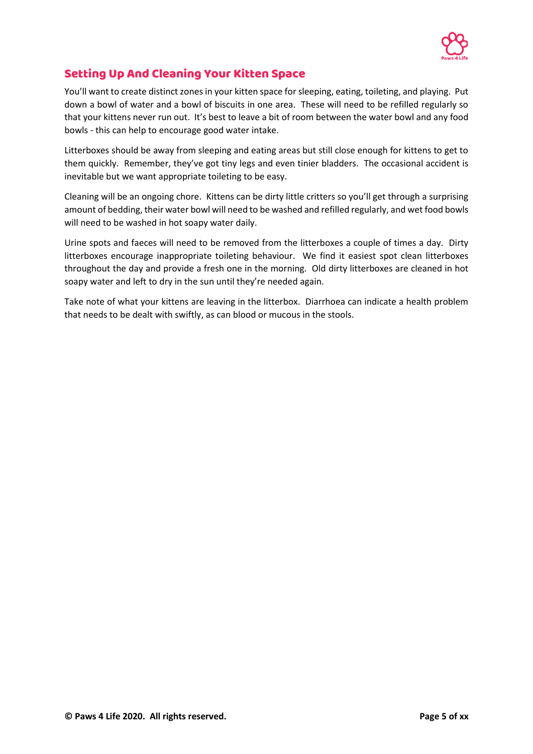

## <span id="page-6-0"></span>Setting Up And Cleaning Your Kitten Space

You'll want to create distinct zones in your kitten space for sleeping, eating, toileting, and playing. Put down a bowl of water and a bowl of biscuits in one area. These will need to be refilled regularly so that your kittens never run out. It's best to leave a bit of room between the water bowl and any food bowls - this can help to encourage good water intake.

Litterboxes should be away from sleeping and eating areas but still close enough for kittens to get to them quickly. Remember, they've got tiny legs and even tinier bladders. The occasional accident is inevitable but we want appropriate toileting to be easy.

Cleaning will be an ongoing chore. Kittens can be dirty little critters so you'll get through a surprising amount of bedding, their water bowl will need to be washed and refilled regularly, and wet food bowls will need to be washed in hot soapy water daily.

Urine spots and faeces will need to be removed from the litterboxes a couple of times a day. Dirty litterboxes encourage inappropriate toileting behaviour. We find it easiest spot clean litterboxes throughout the day and provide a fresh one in the morning. Old dirty litterboxes are cleaned in hot soapy water and left to dry in the sun until they're needed again.

Take note of what your kittens are leaving in the litterbox. Diarrhoea can indicate a health problem that needs to be dealt with swiftly, as can blood or mucous in the stools.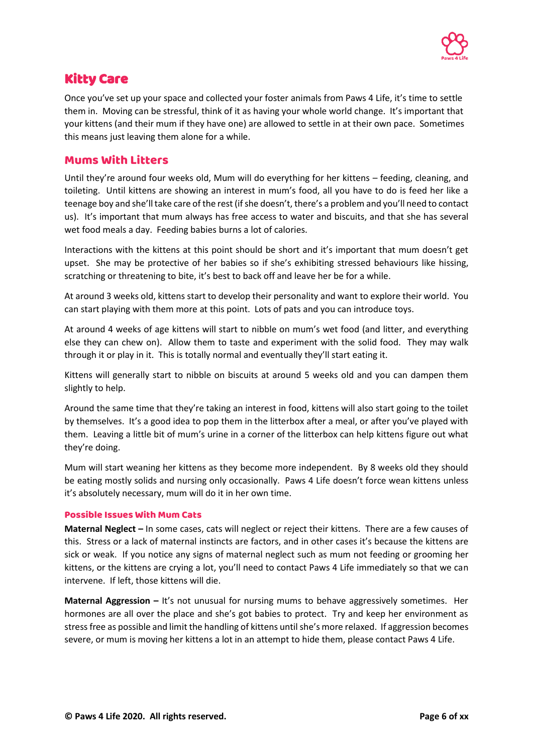

## <span id="page-7-0"></span>Kitty Care

Once you've set up your space and collected your foster animals from Paws 4 Life, it's time to settle them in. Moving can be stressful, think of it as having your whole world change. It's important that your kittens (and their mum if they have one) are allowed to settle in at their own pace. Sometimes this means just leaving them alone for a while.

#### <span id="page-7-1"></span>Mums With Litters

Until they're around four weeks old, Mum will do everything for her kittens – feeding, cleaning, and toileting. Until kittens are showing an interest in mum's food, all you have to do is feed her like a teenage boy and she'll take care of the rest (if she doesn't, there's a problem and you'll need to contact us). It's important that mum always has free access to water and biscuits, and that she has several wet food meals a day. Feeding babies burns a lot of calories.

Interactions with the kittens at this point should be short and it's important that mum doesn't get upset. She may be protective of her babies so if she's exhibiting stressed behaviours like hissing, scratching or threatening to bite, it's best to back off and leave her be for a while.

At around 3 weeks old, kittens start to develop their personality and want to explore their world. You can start playing with them more at this point. Lots of pats and you can introduce toys.

At around 4 weeks of age kittens will start to nibble on mum's wet food (and litter, and everything else they can chew on). Allow them to taste and experiment with the solid food. They may walk through it or play in it. This is totally normal and eventually they'll start eating it.

Kittens will generally start to nibble on biscuits at around 5 weeks old and you can dampen them slightly to help.

Around the same time that they're taking an interest in food, kittens will also start going to the toilet by themselves. It's a good idea to pop them in the litterbox after a meal, or after you've played with them. Leaving a little bit of mum's urine in a corner of the litterbox can help kittens figure out what they're doing.

Mum will start weaning her kittens as they become more independent. By 8 weeks old they should be eating mostly solids and nursing only occasionally. Paws 4 Life doesn't force wean kittens unless it's absolutely necessary, mum will do it in her own time.

#### Possible Issues With Mum Cats

**Maternal Neglect –** In some cases, cats will neglect or reject their kittens. There are a few causes of this. Stress or a lack of maternal instincts are factors, and in other cases it's because the kittens are sick or weak. If you notice any signs of maternal neglect such as mum not feeding or grooming her kittens, or the kittens are crying a lot, you'll need to contact Paws 4 Life immediately so that we can intervene. If left, those kittens will die.

**Maternal Aggression –** It's not unusual for nursing mums to behave aggressively sometimes. Her hormones are all over the place and she's got babies to protect. Try and keep her environment as stress free as possible and limit the handling of kittens until she's more relaxed. If aggression becomes severe, or mum is moving her kittens a lot in an attempt to hide them, please contact Paws 4 Life.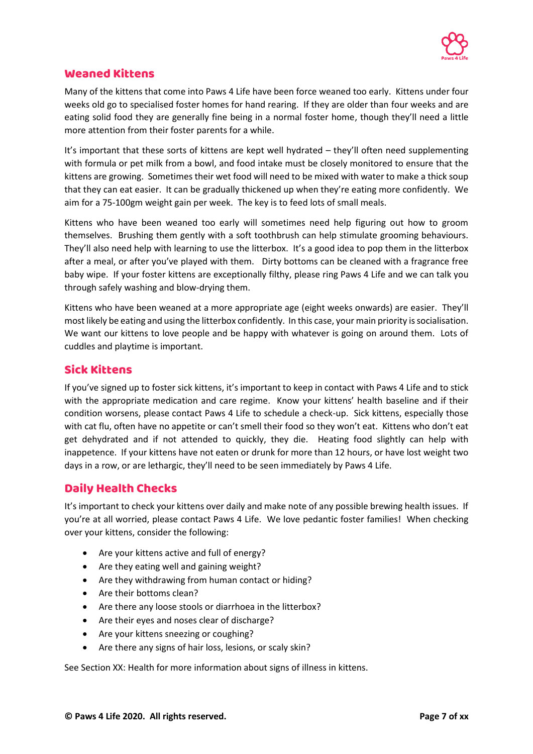

#### <span id="page-8-0"></span>Weaned Kittens

Many of the kittens that come into Paws 4 Life have been force weaned too early. Kittens under four weeks old go to specialised foster homes for hand rearing. If they are older than four weeks and are eating solid food they are generally fine being in a normal foster home, though they'll need a little more attention from their foster parents for a while.

It's important that these sorts of kittens are kept well hydrated – they'll often need supplementing with formula or pet milk from a bowl, and food intake must be closely monitored to ensure that the kittens are growing. Sometimes their wet food will need to be mixed with water to make a thick soup that they can eat easier. It can be gradually thickened up when they're eating more confidently. We aim for a 75-100gm weight gain per week. The key is to feed lots of small meals.

Kittens who have been weaned too early will sometimes need help figuring out how to groom themselves. Brushing them gently with a soft toothbrush can help stimulate grooming behaviours. They'll also need help with learning to use the litterbox. It's a good idea to pop them in the litterbox after a meal, or after you've played with them. Dirty bottoms can be cleaned with a fragrance free baby wipe. If your foster kittens are exceptionally filthy, please ring Paws 4 Life and we can talk you through safely washing and blow-drying them.

Kittens who have been weaned at a more appropriate age (eight weeks onwards) are easier. They'll most likely be eating and using the litterbox confidently. In this case, your main priority is socialisation. We want our kittens to love people and be happy with whatever is going on around them. Lots of cuddles and playtime is important.

## <span id="page-8-1"></span>Sick Kittens

If you've signed up to foster sick kittens, it's important to keep in contact with Paws 4 Life and to stick with the appropriate medication and care regime. Know your kittens' health baseline and if their condition worsens, please contact Paws 4 Life to schedule a check-up. Sick kittens, especially those with cat flu, often have no appetite or can't smell their food so they won't eat. Kittens who don't eat get dehydrated and if not attended to quickly, they die. Heating food slightly can help with inappetence. If your kittens have not eaten or drunk for more than 12 hours, or have lost weight two days in a row, or are lethargic, they'll need to be seen immediately by Paws 4 Life.

#### <span id="page-8-2"></span>Daily Health Checks

It's important to check your kittens over daily and make note of any possible brewing health issues. If you're at all worried, please contact Paws 4 Life. We love pedantic foster families! When checking over your kittens, consider the following:

- Are your kittens active and full of energy?
- Are they eating well and gaining weight?
- Are they withdrawing from human contact or hiding?
- Are their bottoms clean?
- Are there any loose stools or diarrhoea in the litterbox?
- Are their eyes and noses clear of discharge?
- Are your kittens sneezing or coughing?
- Are there any signs of hair loss, lesions, or scaly skin?

See Section XX: Health for more information about signs of illness in kittens.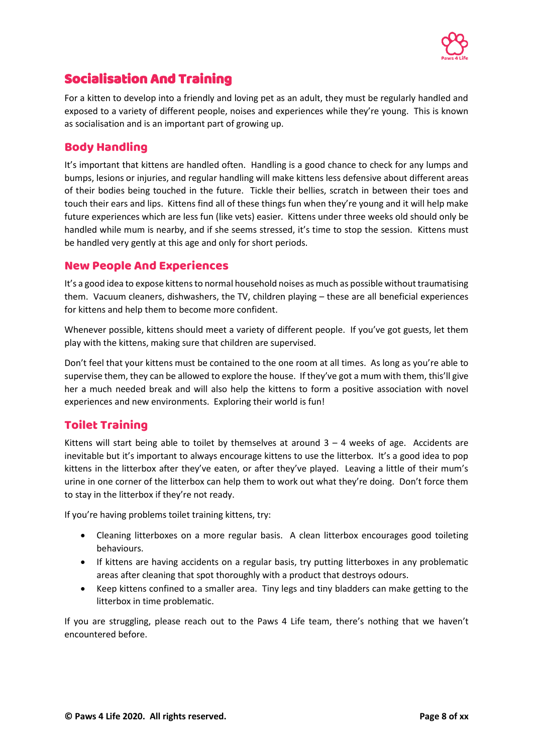

# <span id="page-9-0"></span>Socialisation And Training

For a kitten to develop into a friendly and loving pet as an adult, they must be regularly handled and exposed to a variety of different people, noises and experiences while they're young. This is known as socialisation and is an important part of growing up.

## <span id="page-9-1"></span>Body Handling

It's important that kittens are handled often. Handling is a good chance to check for any lumps and bumps, lesions or injuries, and regular handling will make kittens less defensive about different areas of their bodies being touched in the future. Tickle their bellies, scratch in between their toes and touch their ears and lips. Kittens find all of these things fun when they're young and it will help make future experiences which are less fun (like vets) easier. Kittens under three weeks old should only be handled while mum is nearby, and if she seems stressed, it's time to stop the session. Kittens must be handled very gently at this age and only for short periods.

#### <span id="page-9-2"></span>New People And Experiences

It's a good idea to expose kittens to normal household noises as much as possible without traumatising them. Vacuum cleaners, dishwashers, the TV, children playing – these are all beneficial experiences for kittens and help them to become more confident.

Whenever possible, kittens should meet a variety of different people. If you've got guests, let them play with the kittens, making sure that children are supervised.

Don't feel that your kittens must be contained to the one room at all times. As long as you're able to supervise them, they can be allowed to explore the house. If they've got a mum with them, this'll give her a much needed break and will also help the kittens to form a positive association with novel experiences and new environments. Exploring their world is fun!

## <span id="page-9-3"></span>Toilet Training

Kittens will start being able to toilet by themselves at around  $3 - 4$  weeks of age. Accidents are inevitable but it's important to always encourage kittens to use the litterbox. It's a good idea to pop kittens in the litterbox after they've eaten, or after they've played. Leaving a little of their mum's urine in one corner of the litterbox can help them to work out what they're doing. Don't force them to stay in the litterbox if they're not ready.

If you're having problems toilet training kittens, try:

- Cleaning litterboxes on a more regular basis. A clean litterbox encourages good toileting behaviours.
- If kittens are having accidents on a regular basis, try putting litterboxes in any problematic areas after cleaning that spot thoroughly with a product that destroys odours.
- Keep kittens confined to a smaller area. Tiny legs and tiny bladders can make getting to the litterbox in time problematic.

If you are struggling, please reach out to the Paws 4 Life team, there's nothing that we haven't encountered before.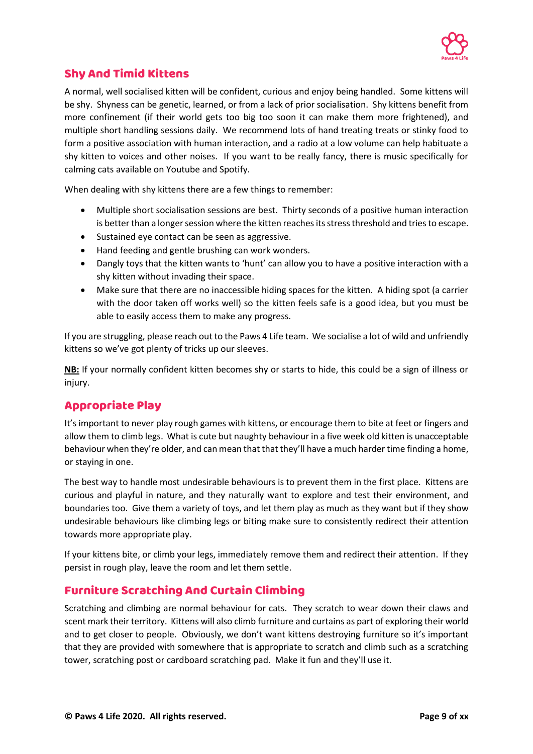

## <span id="page-10-0"></span>Shy And Timid Kittens

A normal, well socialised kitten will be confident, curious and enjoy being handled. Some kittens will be shy. Shyness can be genetic, learned, or from a lack of prior socialisation. Shy kittens benefit from more confinement (if their world gets too big too soon it can make them more frightened), and multiple short handling sessions daily. We recommend lots of hand treating treats or stinky food to form a positive association with human interaction, and a radio at a low volume can help habituate a shy kitten to voices and other noises. If you want to be really fancy, there is music specifically for calming cats available on Youtube and Spotify.

When dealing with shy kittens there are a few things to remember:

- Multiple short socialisation sessions are best. Thirty seconds of a positive human interaction is better than a longer session where the kitten reaches its stress threshold and tries to escape.
- Sustained eye contact can be seen as aggressive.
- Hand feeding and gentle brushing can work wonders.
- Dangly toys that the kitten wants to 'hunt' can allow you to have a positive interaction with a shy kitten without invading their space.
- Make sure that there are no inaccessible hiding spaces for the kitten. A hiding spot (a carrier with the door taken off works well) so the kitten feels safe is a good idea, but you must be able to easily access them to make any progress.

If you are struggling, please reach out to the Paws 4 Life team. We socialise a lot of wild and unfriendly kittens so we've got plenty of tricks up our sleeves.

**NB:** If your normally confident kitten becomes shy or starts to hide, this could be a sign of illness or injury.

## <span id="page-10-1"></span>Appropriate Play

It's important to never play rough games with kittens, or encourage them to bite at feet or fingers and allow them to climb legs. What is cute but naughty behaviour in a five week old kitten is unacceptable behaviour when they're older, and can mean that that they'll have a much harder time finding a home, or staying in one.

The best way to handle most undesirable behaviours is to prevent them in the first place. Kittens are curious and playful in nature, and they naturally want to explore and test their environment, and boundaries too. Give them a variety of toys, and let them play as much as they want but if they show undesirable behaviours like climbing legs or biting make sure to consistently redirect their attention towards more appropriate play.

If your kittens bite, or climb your legs, immediately remove them and redirect their attention. If they persist in rough play, leave the room and let them settle.

## <span id="page-10-2"></span>Furniture Scratching And Curtain Climbing

Scratching and climbing are normal behaviour for cats. They scratch to wear down their claws and scent mark their territory. Kittens will also climb furniture and curtains as part of exploring their world and to get closer to people. Obviously, we don't want kittens destroying furniture so it's important that they are provided with somewhere that is appropriate to scratch and climb such as a scratching tower, scratching post or cardboard scratching pad. Make it fun and they'll use it.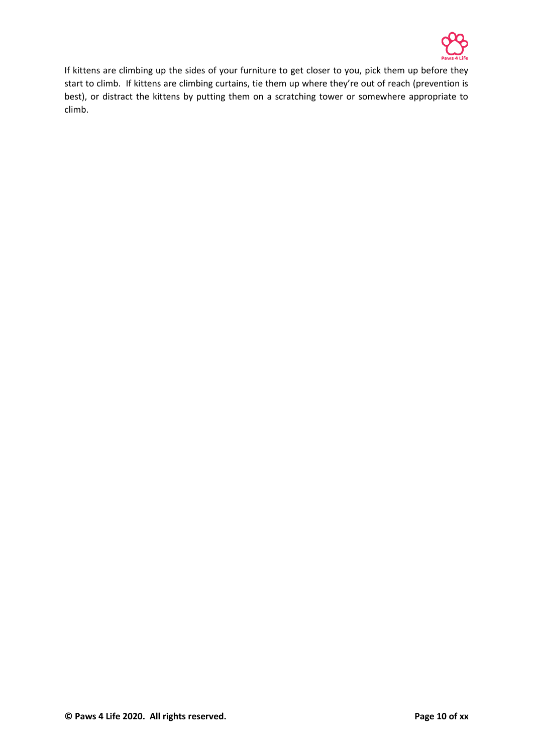

If kittens are climbing up the sides of your furniture to get closer to you, pick them up before they start to climb. If kittens are climbing curtains, tie them up where they're out of reach (prevention is best), or distract the kittens by putting them on a scratching tower or somewhere appropriate to climb.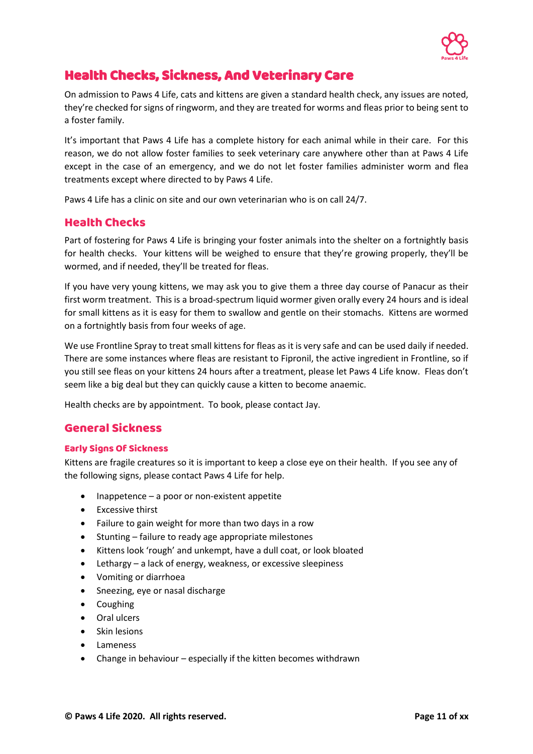

# <span id="page-12-0"></span>Health Checks, Sickness, And Veterinary Care

On admission to Paws 4 Life, cats and kittens are given a standard health check, any issues are noted, they're checked for signs of ringworm, and they are treated for worms and fleas prior to being sent to a foster family.

It's important that Paws 4 Life has a complete history for each animal while in their care. For this reason, we do not allow foster families to seek veterinary care anywhere other than at Paws 4 Life except in the case of an emergency, and we do not let foster families administer worm and flea treatments except where directed to by Paws 4 Life.

Paws 4 Life has a clinic on site and our own veterinarian who is on call 24/7.

## <span id="page-12-1"></span>Health Checks

Part of fostering for Paws 4 Life is bringing your foster animals into the shelter on a fortnightly basis for health checks. Your kittens will be weighed to ensure that they're growing properly, they'll be wormed, and if needed, they'll be treated for fleas.

If you have very young kittens, we may ask you to give them a three day course of Panacur as their first worm treatment. This is a broad-spectrum liquid wormer given orally every 24 hours and is ideal for small kittens as it is easy for them to swallow and gentle on their stomachs. Kittens are wormed on a fortnightly basis from four weeks of age.

We use Frontline Spray to treat small kittens for fleas as it is very safe and can be used daily if needed. There are some instances where fleas are resistant to Fipronil, the active ingredient in Frontline, so if you still see fleas on your kittens 24 hours after a treatment, please let Paws 4 Life know. Fleas don't seem like a big deal but they can quickly cause a kitten to become anaemic.

Health checks are by appointment. To book, please contact Jay.

## <span id="page-12-2"></span>General Sickness

#### Early Signs Of Sickness

Kittens are fragile creatures so it is important to keep a close eye on their health. If you see any of the following signs, please contact Paws 4 Life for help.

- $Inappetence a poor or non-existent appetite$
- Excessive thirst
- Failure to gain weight for more than two days in a row
- Stunting failure to ready age appropriate milestones
- Kittens look 'rough' and unkempt, have a dull coat, or look bloated
- Lethargy a lack of energy, weakness, or excessive sleepiness
- Vomiting or diarrhoea
- Sneezing, eye or nasal discharge
- Coughing
- Oral ulcers
- Skin lesions
- Lameness
- Change in behaviour especially if the kitten becomes withdrawn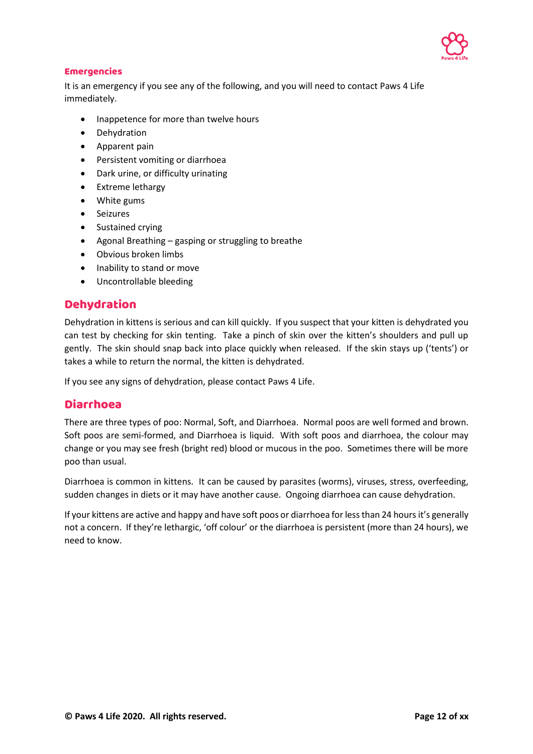

#### Emergencies

It is an emergency if you see any of the following, and you will need to contact Paws 4 Life immediately.

- Inappetence for more than twelve hours
- Dehydration
- Apparent pain
- Persistent vomiting or diarrhoea
- Dark urine, or difficulty urinating
- Extreme lethargy
- White gums
- Seizures
- Sustained crying
- Agonal Breathing gasping or struggling to breathe
- Obvious broken limbs
- Inability to stand or move
- Uncontrollable bleeding

#### <span id="page-13-0"></span>Dehydration

Dehydration in kittens is serious and can kill quickly. If you suspect that your kitten is dehydrated you can test by checking for skin tenting. Take a pinch of skin over the kitten's shoulders and pull up gently. The skin should snap back into place quickly when released. If the skin stays up ('tents') or takes a while to return the normal, the kitten is dehydrated.

If you see any signs of dehydration, please contact Paws 4 Life.

#### <span id="page-13-1"></span>Diarrhoea

There are three types of poo: Normal, Soft, and Diarrhoea. Normal poos are well formed and brown. Soft poos are semi-formed, and Diarrhoea is liquid. With soft poos and diarrhoea, the colour may change or you may see fresh (bright red) blood or mucous in the poo. Sometimes there will be more poo than usual.

Diarrhoea is common in kittens. It can be caused by parasites (worms), viruses, stress, overfeeding, sudden changes in diets or it may have another cause. Ongoing diarrhoea can cause dehydration.

If your kittens are active and happy and have soft poos or diarrhoea for less than 24 hours it's generally not a concern. If they're lethargic, 'off colour' or the diarrhoea is persistent (more than 24 hours), we need to know.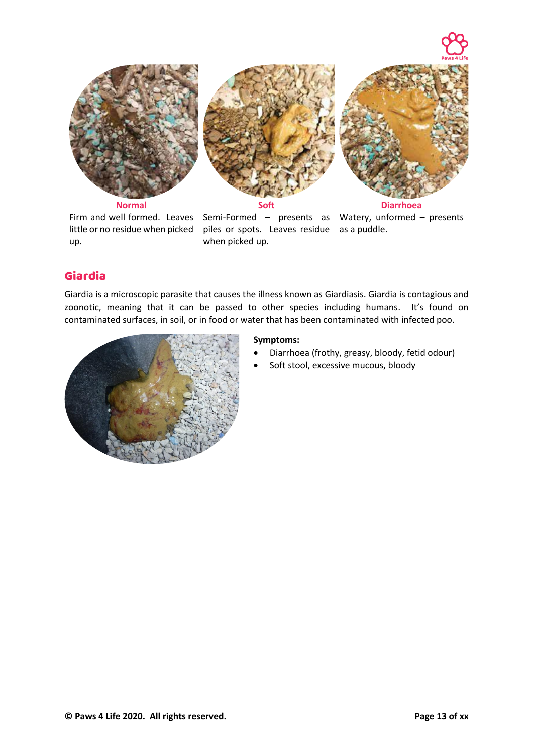

up.

Firm and well formed. Leaves Semi-Formed – presents as Watery, unformed – presents little or no residue when picked piles or spots. Leaves residue as a puddle. when picked up.

## <span id="page-14-0"></span>Giardia

Giardia is a microscopic parasite that causes the illness known as Giardiasis. Giardia is contagious and zoonotic, meaning that it can be passed to other species including humans. It's found on contaminated surfaces, in soil, or in food or water that has been contaminated with infected poo.



- Diarrhoea (frothy, greasy, bloody, fetid odour)
- Soft stool, excessive mucous, bloody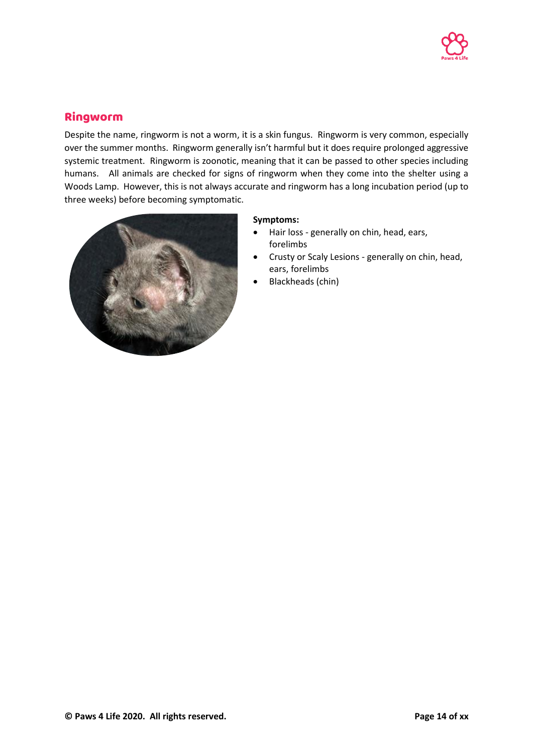

## <span id="page-15-0"></span>Ringworm

Despite the name, ringworm is not a worm, it is a skin fungus. Ringworm is very common, especially over the summer months. Ringworm generally isn't harmful but it does require prolonged aggressive systemic treatment. Ringworm is zoonotic, meaning that it can be passed to other species including humans. All animals are checked for signs of ringworm when they come into the shelter using a Woods Lamp. However, this is not always accurate and ringworm has a long incubation period (up to three weeks) before becoming symptomatic.



- Hair loss generally on chin, head, ears, forelimbs
- Crusty or Scaly Lesions generally on chin, head, ears, forelimbs
- Blackheads (chin)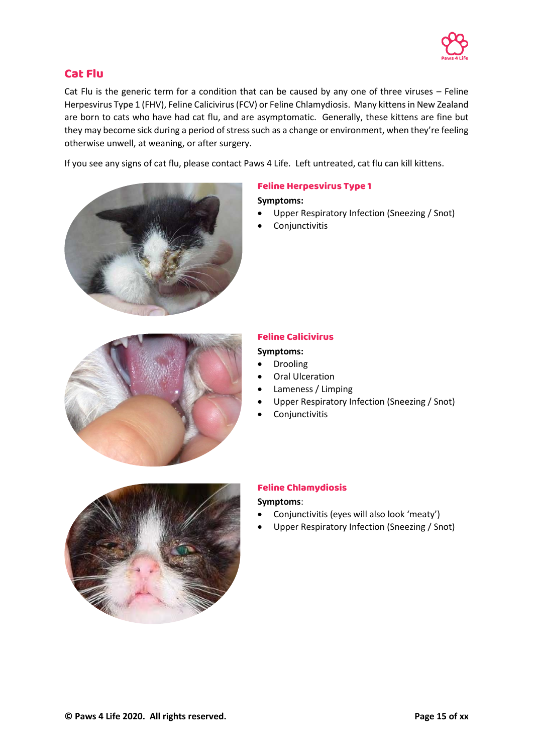

## <span id="page-16-0"></span>Cat Flu

Cat Flu is the generic term for a condition that can be caused by any one of three viruses – Feline Herpesvirus Type 1 (FHV), Feline Calicivirus (FCV) or Feline Chlamydiosis. Many kittens in New Zealand are born to cats who have had cat flu, and are asymptomatic. Generally, these kittens are fine but they may become sick during a period of stress such as a change or environment, when they're feeling otherwise unwell, at weaning, or after surgery.

If you see any signs of cat flu, please contact Paws 4 Life. Left untreated, cat flu can kill kittens.



#### Feline Herpesvirus Type 1

#### **Symptoms:**

- Upper Respiratory Infection (Sneezing / Snot)
- **Conjunctivitis**



#### Feline Calicivirus

#### **Symptoms:**

- **Drooling**
- **Oral Ulceration**
- Lameness / Limping
- Upper Respiratory Infection (Sneezing / Snot)
- Conjunctivitis



#### Feline Chlamydiosis

- Conjunctivitis (eyes will also look 'meaty')
- Upper Respiratory Infection (Sneezing / Snot)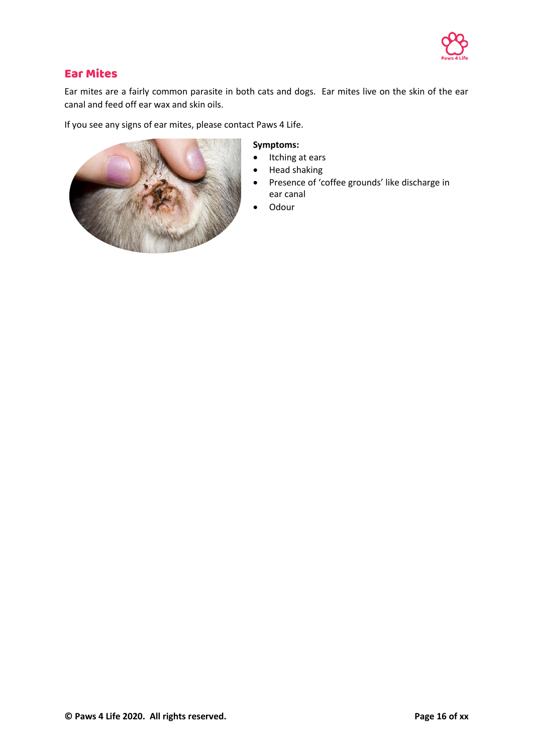

## <span id="page-17-0"></span>Ear Mites

Ear mites are a fairly common parasite in both cats and dogs. Ear mites live on the skin of the ear canal and feed off ear wax and skin oils.

If you see any signs of ear mites, please contact Paws 4 Life.



- Itching at ears
- Head shaking
- Presence of 'coffee grounds' like discharge in ear canal
- Odour